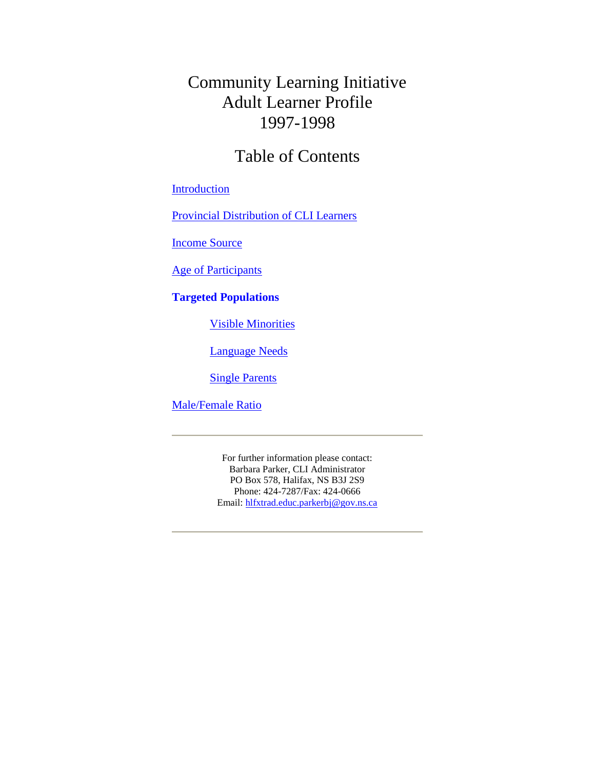### Community Learning Initiative Adult Learner Profile 1997-1998

### Table of Contents

#### [Introduction](#page-1-0)

[Provincial Distribution of CLI Learners](#page-2-0)

[Income Source](#page-3-0)

[Age of Participants](#page-4-0)

#### **[Targeted Populations](#page-5-0)**

[Visible Minorities](#page-5-0)

[Language Needs](#page-6-0)

[Single Parents](#page-7-0)

[Male/Female Ratio](#page-8-0)

For further information please contact: Barbara Parker, CLI Administrator PO Box 578, Halifax, NS B3J 2S9 Phone: 424-7287/Fax: 424-0666 Email: hlfxtrad.educ.parkerbj@gov.ns.ca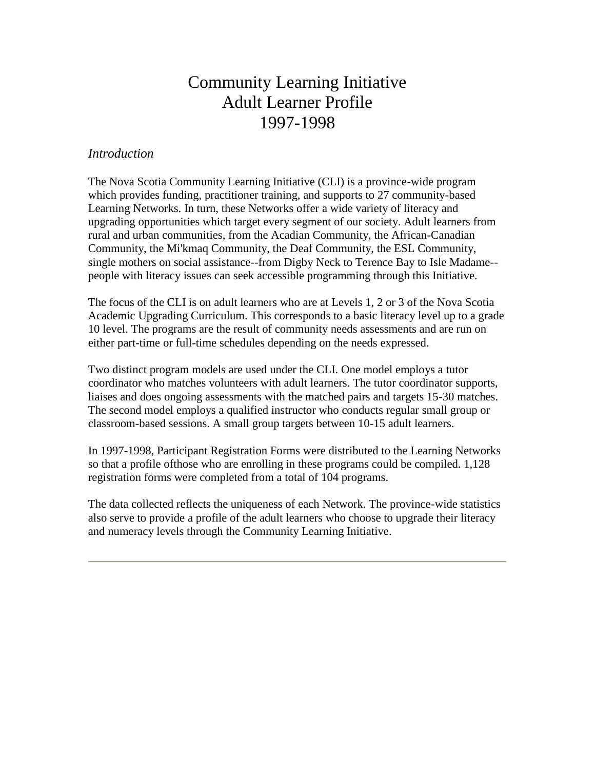### Community Learning Initiative Adult Learner Profile 1997-1998

#### <span id="page-1-0"></span>*Introduction*

The Nova Scotia Community Learning Initiative (CLI) is a province-wide program which provides funding, practitioner training, and supports to 27 community-based Learning Networks. In turn, these Networks offer a wide variety of literacy and upgrading opportunities which target every segment of our society. Adult learners from rural and urban communities, from the Acadian Community, the African-Canadian Community, the Mi'kmaq Community, the Deaf Community, the ESL Community, single mothers on social assistance--from Digby Neck to Terence Bay to Isle Madame- people with literacy issues can seek accessible programming through this Initiative.

The focus of the CLI is on adult learners who are at Levels 1, 2 or 3 of the Nova Scotia Academic Upgrading Curriculum. This corresponds to a basic literacy level up to a grade 10 level. The programs are the result of community needs assessments and are run on either part-time or full-time schedules depending on the needs expressed.

Two distinct program models are used under the CLI. One model employs a tutor coordinator who matches volunteers with adult learners. The tutor coordinator supports, liaises and does ongoing assessments with the matched pairs and targets 15-30 matches. The second model employs a qualified instructor who conducts regular small group or classroom-based sessions. A small group targets between 10-15 adult learners.

In 1997-1998, Participant Registration Forms were distributed to the Learning Networks so that a profile ofthose who are enrolling in these programs could be compiled. 1,128 registration forms were completed from a total of 104 programs.

The data collected reflects the uniqueness of each Network. The province-wide statistics also serve to provide a profile of the adult learners who choose to upgrade their literacy and numeracy levels through the Community Learning Initiative.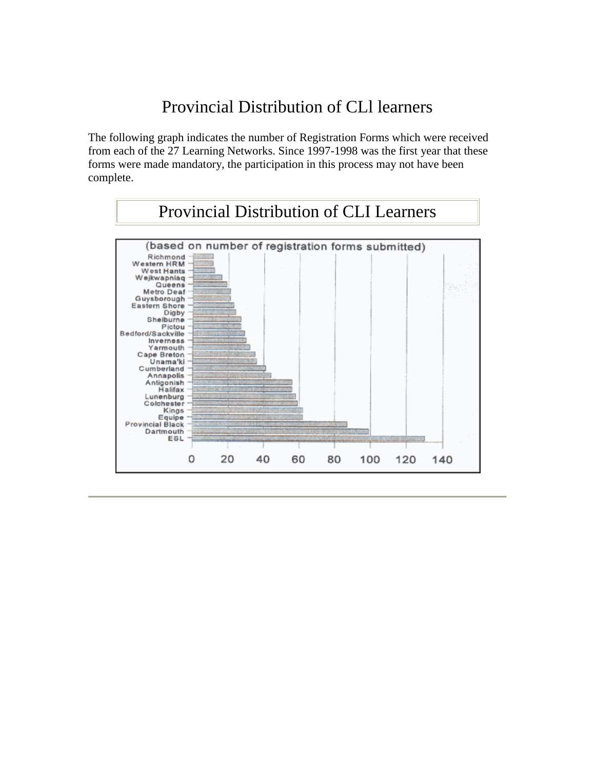## Provincial Distribution of CLl learners

<span id="page-2-0"></span>The following graph indicates the number of Registration Forms which were received from each of the 27 Learning Networks. Since 1997-1998 was the first year that these forms were made mandatory, the participation in this process may not have been complete.

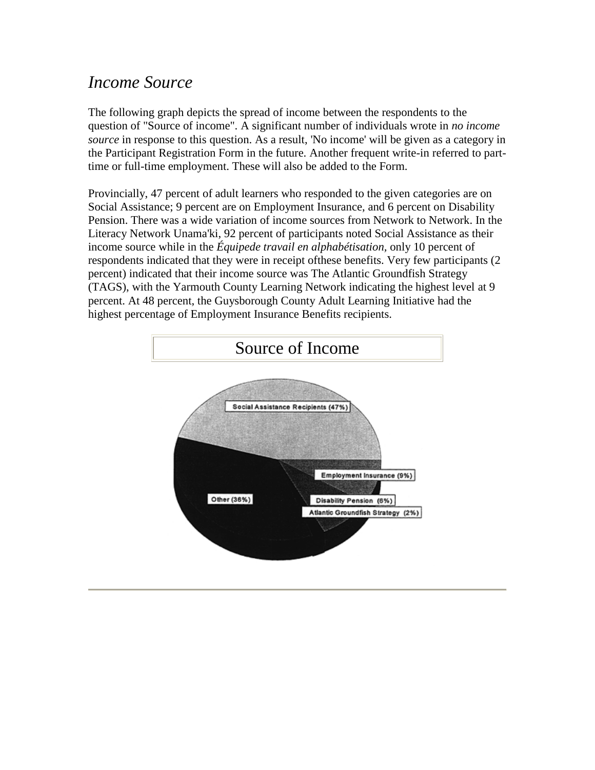## <span id="page-3-0"></span>*Income Source*

The following graph depicts the spread of income between the respondents to the question of "Source of income". A significant number of individuals wrote in *no income source* in response to this question. As a result, 'No income' will be given as a category in the Participant Registration Form in the future. Another frequent write-in referred to parttime or full-time employment. These will also be added to the Form.

Provincially, 47 percent of adult learners who responded to the given categories are on Social Assistance; 9 percent are on Employment Insurance, and 6 percent on Disability Pension. There was a wide variation of income sources from Network to Network. In the Literacy Network Unama'ki, 92 percent of participants noted Social Assistance as their income source while in the *Équipede travail en alphabétisation,* only 10 percent of respondents indicated that they were in receipt ofthese benefits. Very few participants (2 percent) indicated that their income source was The Atlantic Groundfish Strategy (TAGS), with the Yarmouth County Learning Network indicating the highest level at 9 percent. At 48 percent, the Guysborough County Adult Learning Initiative had the highest percentage of Employment Insurance Benefits recipients.

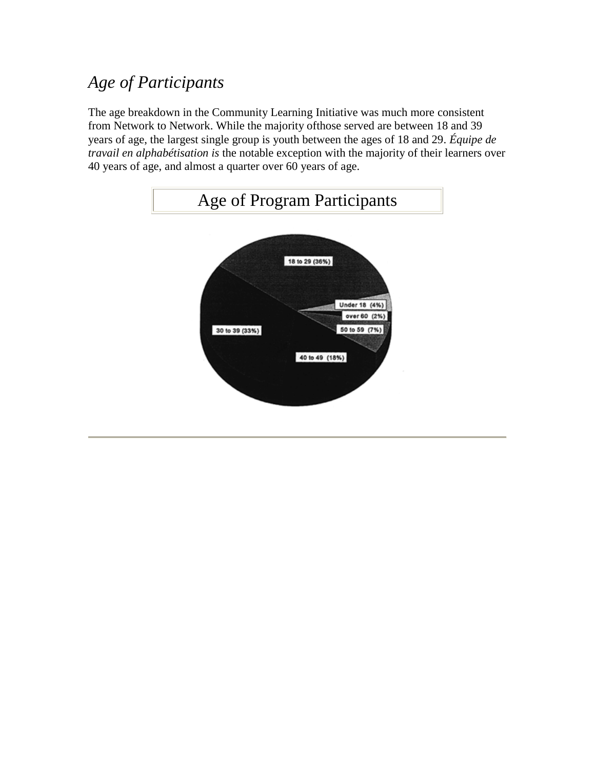# <span id="page-4-0"></span>*Age of Participants*

The age breakdown in the Community Learning Initiative was much more consistent from Network to Network. While the majority ofthose served are between 18 and 39 years of age, the largest single group is youth between the ages of 18 and 29. *Équipe de travail en alphabétisation is* the notable exception with the majority of their learners over 40 years of age, and almost a quarter over 60 years of age.

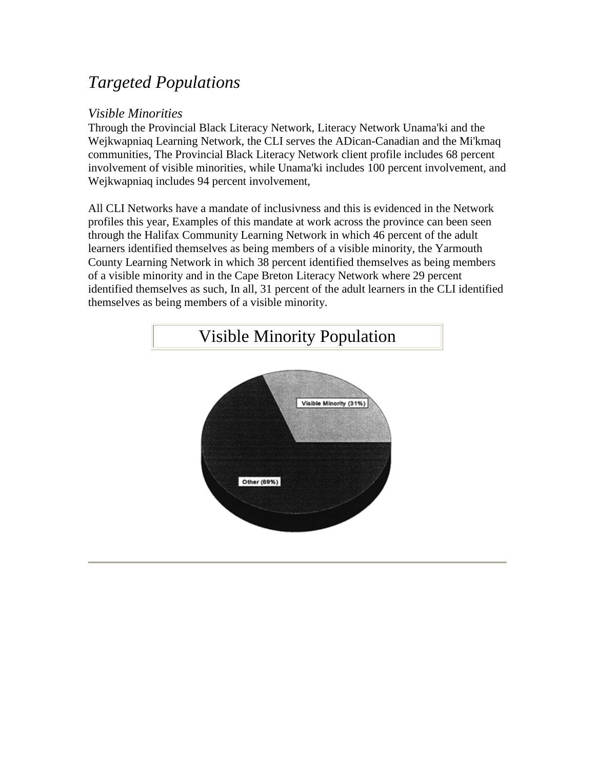## <span id="page-5-0"></span>*Targeted Populations*

#### *Visible Minorities*

Through the Provincial Black Literacy Network, Literacy Network Unama'ki and the Wejkwapniaq Learning Network, the CLI serves the ADican-Canadian and the Mi'kmaq communities, The Provincial Black Literacy Network client profile includes 68 percent involvement of visible minorities, while Unama'ki includes 100 percent involvement, and Wejkwapniaq includes 94 percent involvement,

All CLI Networks have a mandate of inclusivness and this is evidenced in the Network profiles this year, Examples of this mandate at work across the province can been seen through the Halifax Community Learning Network in which 46 percent of the adult learners identified themselves as being members of a visible minority, the Yarmouth County Learning Network in which 38 percent identified themselves as being members of a visible minority and in the Cape Breton Literacy Network where 29 percent identified themselves as such, In all, 31 percent of the adult learners in the CLI identified themselves as being members of a visible minority.

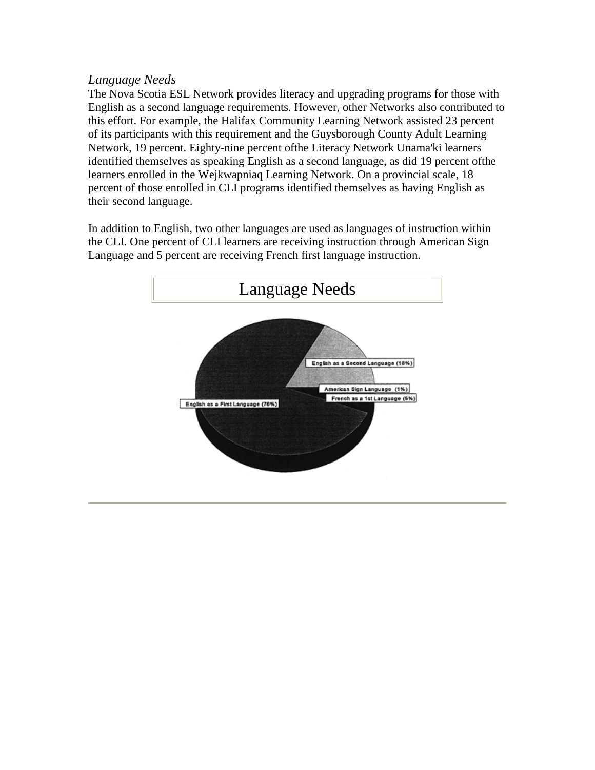### <span id="page-6-0"></span>*Language Needs*

The Nova Scotia ESL Network provides literacy and upgrading programs for those with English as a second language requirements. However, other Networks also contributed to this effort. For example, the Halifax Community Learning Network assisted 23 percent of its participants with this requirement and the Guysborough County Adult Learning Network, 19 percent. Eighty-nine percent ofthe Literacy Network Unama'ki learners identified themselves as speaking English as a second language, as did 19 percent ofthe learners enrolled in the Wejkwapniaq Learning Network. On a provincial scale, 18 percent of those enrolled in CLI programs identified themselves as having English as their second language.

In addition to English, two other languages are used as languages of instruction within the CLI. One percent of CLI learners are receiving instruction through American Sign Language and 5 percent are receiving French first language instruction.

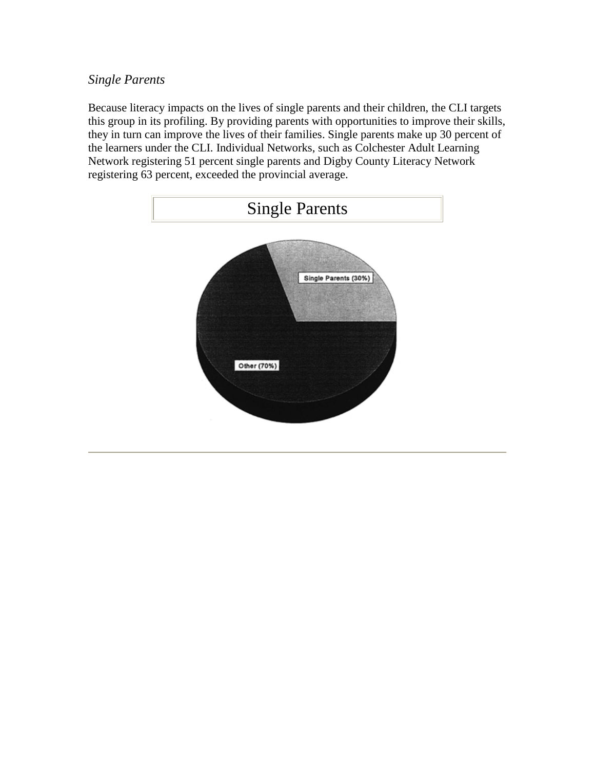### <span id="page-7-0"></span>*Single Parents*

Because literacy impacts on the lives of single parents and their children, the CLI targets this group in its profiling. By providing parents with opportunities to improve their skills, they in turn can improve the lives of their families. Single parents make up 30 percent of the learners under the CLI. Individual Networks, such as Colchester Adult Learning Network registering 51 percent single parents and Digby County Literacy Network registering 63 percent, exceeded the provincial average.